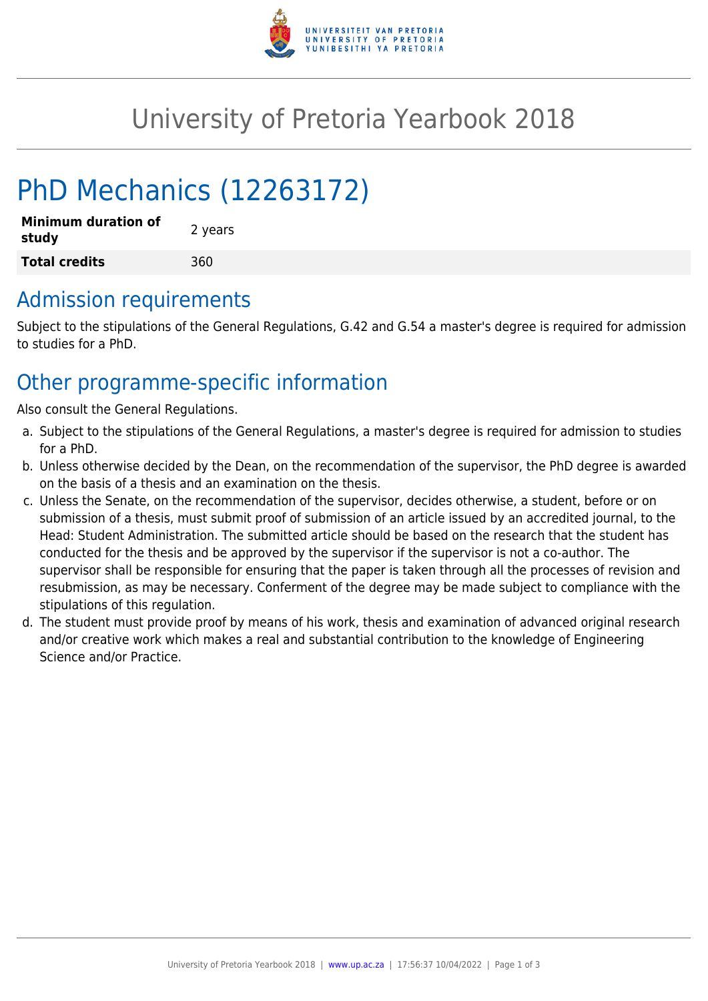

## University of Pretoria Yearbook 2018

# PhD Mechanics (12263172)

| <b>Minimum duration of</b><br>study | 2 years |  |
|-------------------------------------|---------|--|
| <b>Total credits</b>                | 360     |  |

### Admission requirements

Subject to the stipulations of the General Regulations, G.42 and G.54 a master's degree is required for admission to studies for a PhD.

### Other programme-specific information

Also consult the General Regulations.

- a. Subject to the stipulations of the General Regulations, a master's degree is required for admission to studies for a PhD.
- b. Unless otherwise decided by the Dean, on the recommendation of the supervisor, the PhD degree is awarded on the basis of a thesis and an examination on the thesis.
- c. Unless the Senate, on the recommendation of the supervisor, decides otherwise, a student, before or on submission of a thesis, must submit proof of submission of an article issued by an accredited journal, to the Head: Student Administration. The submitted article should be based on the research that the student has conducted for the thesis and be approved by the supervisor if the supervisor is not a co-author. The supervisor shall be responsible for ensuring that the paper is taken through all the processes of revision and resubmission, as may be necessary. Conferment of the degree may be made subject to compliance with the stipulations of this regulation.
- d. The student must provide proof by means of his work, thesis and examination of advanced original research and/or creative work which makes a real and substantial contribution to the knowledge of Engineering Science and/or Practice.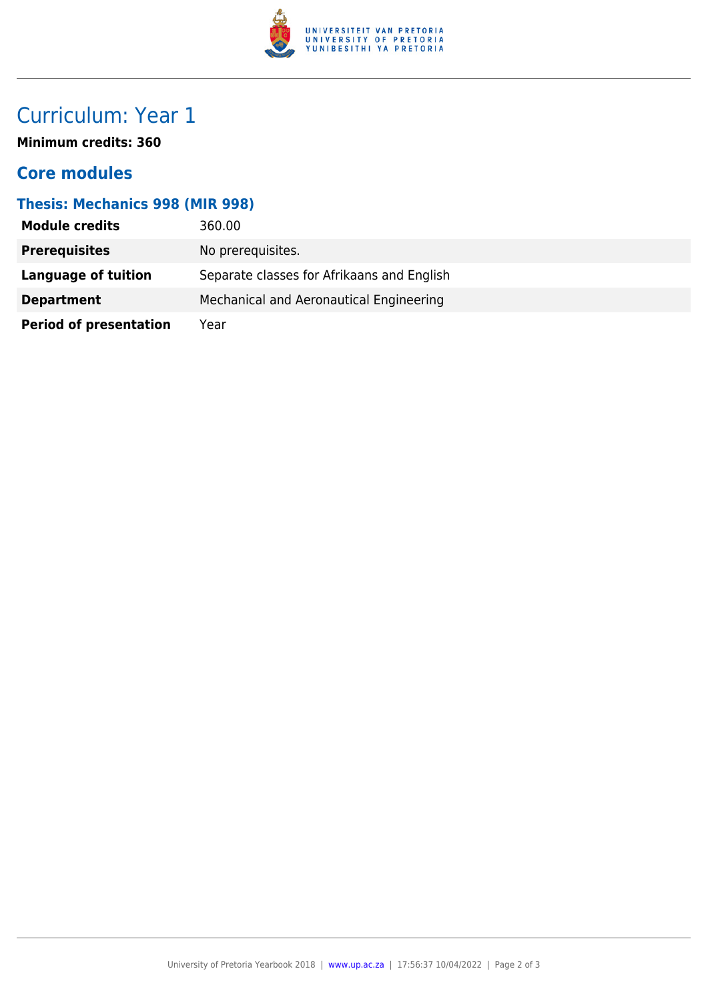

### Curriculum: Year 1

**Minimum credits: 360**

#### **Core modules**

#### **Thesis: Mechanics 998 (MIR 998)**

| <b>Module credits</b>         | 360.00                                     |
|-------------------------------|--------------------------------------------|
| <b>Prerequisites</b>          | No prerequisites.                          |
| Language of tuition           | Separate classes for Afrikaans and English |
| <b>Department</b>             | Mechanical and Aeronautical Engineering    |
| <b>Period of presentation</b> | Year                                       |